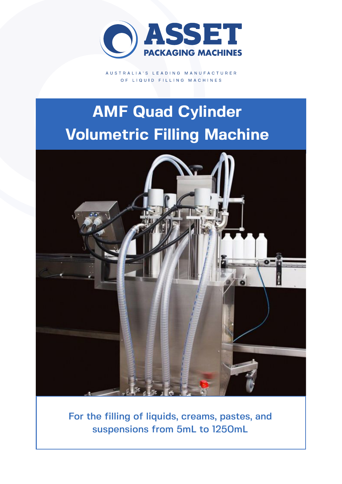

AUSTRALIA'S LEADING MANUFACTURER OF LIQUID FILLING MACHINES

# **AMF Quad Cylinder Volumetric Filling Machine**



For the filling of liquids, creams, pastes, and suspensions from 5mL to 1250mL